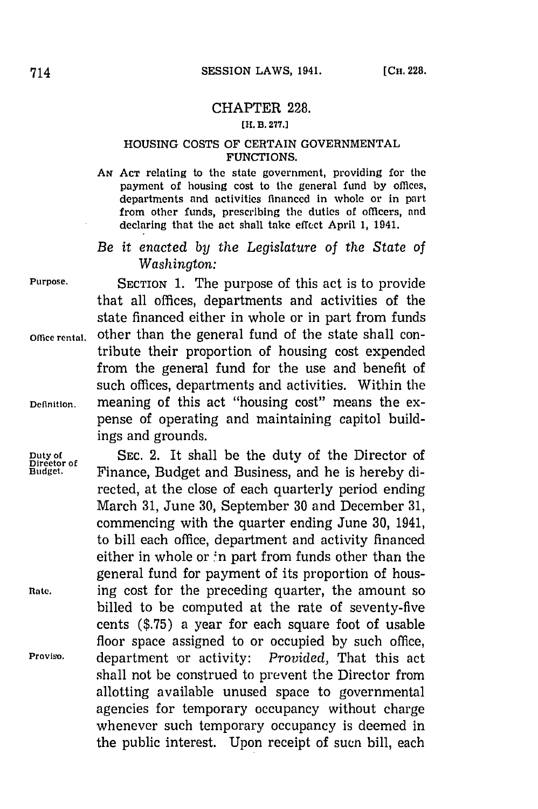## CHAPTER **228.**

## **[U. B3. 2771**

## **HOUSING COSTS OF CERTAIN GOVERNMENTAL FUNCTIONS.**

*Am* **ACT** relating to the state government, providing **for the** payment of housing cost to the general fund **by** offices, departments and activities financed in whole or in part from other funds, prescribing the duties of officers, and declaring that the act shall take effect April 1, 1941.

*Be it enacted by the Legislature of the State of Washington:*

**Purpose. SECTION 1.** The purpose of this act is to provide that all offices, departments and activities of the state financed either in whole or in part from funds **Office rental,** other than the general fund of the state shall contribute their proportion of housing cost expended from the general fund for the use and benefit of such offices, departments and activities. Within the **Definition.** meaning of this act "housing cost" means the expense of operating and maintaining capitol buildings and grounds.

Duty of SEC. 2. It shall be the duty of the Director of Director of Budget.<br>Budget. **Finance**, Budget and Business, and he is hereby di-**Budget.** Finance, Budget and Business, and he is hereby directed, at the close of each quarterly period ending March **31,** June **30,** September **30** and December **31,** commencing with the quarter ending June **30,** 1941, to bill each office, department and activity financed either in whole or  $\text{in}$  part from funds other than the general fund for payment of its proportion of hous-Rate. **ing cost for the preceding quarter, the amount so** billed to be computed at the rate of seventy-five cents **(\$.75)** a year for each square foot of usable floor space assigned to or occupied **by** such office, **Proviso,** department or activity: *Provided,* That this act shall not be construed to prevent the Director from allotting available unused space to governmental agencies for temporary occupancy without charge whenever such temporary occupancy is deemed in the public interest. Upon receipt of sucn bill, each